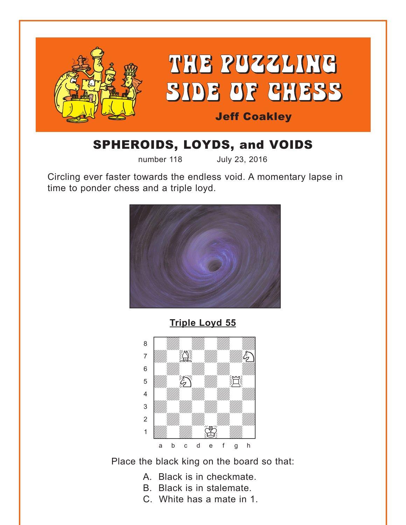<span id="page-0-0"></span>

# SPHEROIDS, LOYDS, and VOIDS

number 118 July 23, 2016

Circling ever faster towards the endless void. A momentary lapse in time to ponder chess and a triple loyd.



**[Triple Loyd 55](#page-4-0)**



Place the black king on the board so that:

- A. Black is in checkmate.
- B. Black is in stalemate.
- C. White has a mate in 1.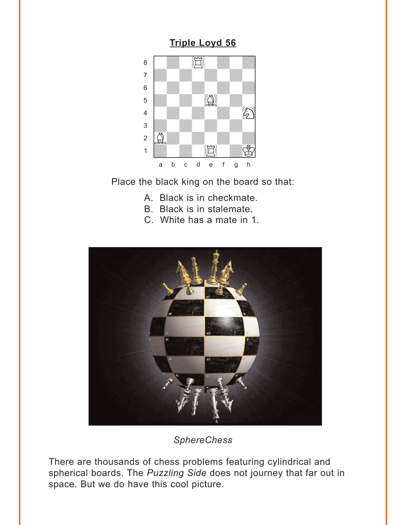#### **Triple Loyd 56**

<span id="page-1-0"></span>

Place the black king on the board so that:

- A. Black is in checkmate.
- B. Black is in stalemate.
- C. White has a mate in 1.



**SphereChess** 

There are thousands of chess problems featuring cylindrical and spherical boards. The Puzzling Side does not journey that far out in space. But we do have this cool picture.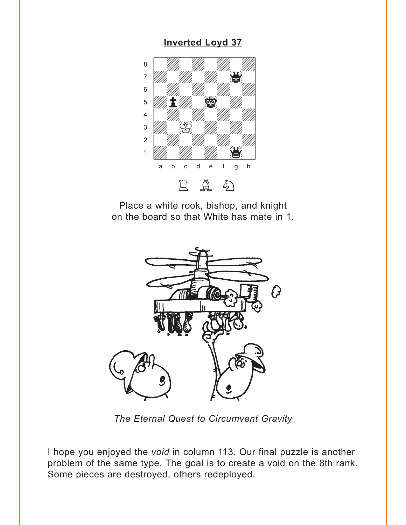#### **Inverted Loyd 37**

<span id="page-2-0"></span>

Place a white rook, bishop, and knight on the board so that White has mate in 1.



The Eternal Quest to Circumvent Gravity

I hope you enjoyed the void in column 113. Our final puzzle is another problem of the same type. The goal is to create a void on the 8th rank. Some pieces are destroyed, others redeployed.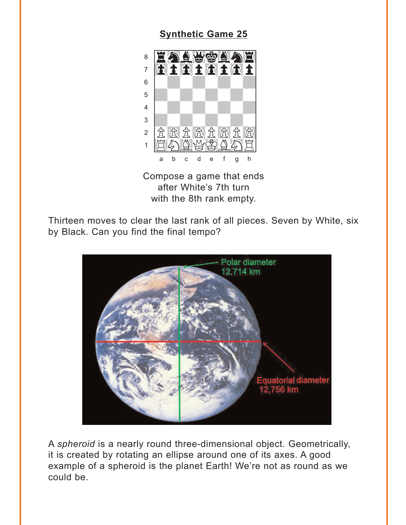#### **Synthetic Game 25**

<span id="page-3-0"></span>

Compose a game that ends after White's 7th turn with the 8th rank empty.

Thirteen moves to clear the last rank of all pieces. Seven by White, six by Black. Can you find the final tempo?



A spheroid is a nearly round three-dimensional object. Geometrically, it is created by rotating an ellipse around one of its axes. A good example of a spheroid is the planet Earth! We're not as round as we could be.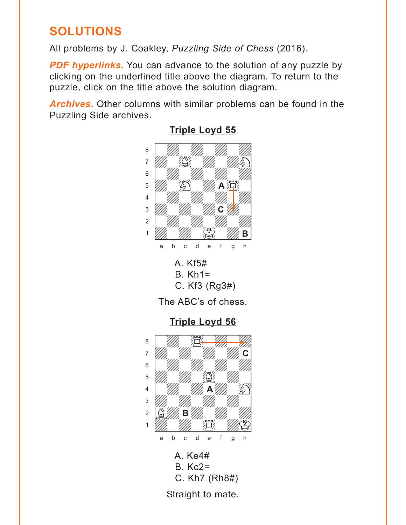## <span id="page-4-0"></span>**SOLUTIONS**

All problems by J. Coakley, *Puzzling Side of Chess* (2016).

**PDF hyperlinks.** You can advance to the solution of any puzzle by clicking on the underlined title above the diagram. To return to the puzzle, click on the title above the solution diagram.

*Archives***.** Other columns with similar problems can be found in the Puzzling Side archives.



#### **[Triple Loyd 55](#page-0-0)**

The ABC's of chess.

**[Triple Loyd 56](#page-1-0)**

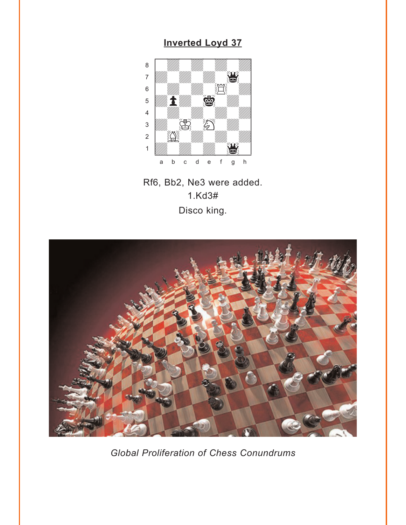### **Inverted Loyd 37**

<span id="page-5-0"></span>

Rf6, Bb2, Ne3 were added.  $1.Kd3#$ Disco king.



**Global Proliferation of Chess Conundrums**